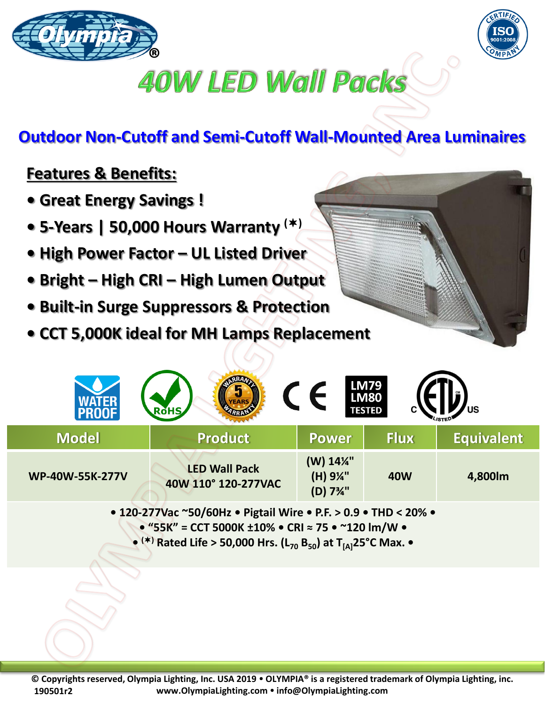



## **40W LED Wall Packs**

## **Outdoor Non-Cutoff and Semi-Cutoff Wall-Mounted Area Luminaires**

## **Features & Benefits:**

- **Great Energy Savings !**
- **5-Years | 50,000 Hours Warranty ()**
- **High Power Factor – UL Listed Driver**
- **Bright – High CRI – High Lumen Output**
- **Built-in Surge Suppressors & Protection**
- **CCT 5,000K ideal for MH Lamps Replacement**

| <b>PROOF</b>           | <b>RoHS</b>                                 |                                                            | <b>LM79<br/>LM80</b><br><b>TESTED</b> | US                |
|------------------------|---------------------------------------------|------------------------------------------------------------|---------------------------------------|-------------------|
| <b>Model</b>           | <b>Product</b>                              | <b>Power</b>                                               | <b>Flux</b>                           | <b>Equivalent</b> |
| <b>WP-40W-55K-277V</b> | <b>LED Wall Pack</b><br>40W 110° 120-277VAC | (W) 14%"<br>(H) 9¼"<br>(D) 7 <sup>3</sup> / <sub>4</sub> " | <b>40W</b>                            | 4,800lm           |

**• 120-277Vac ~50/60Hz • Pigtail Wire • P.F. > 0.9 • THD < 20% • • "55K" = CCT 5000K ±10% • CRI ≈ 75 • ~120 lm/W • • () Rated Life > 50,000 Hrs. (L<sup>70</sup> B50) at T[A]25°C Max. •**

**© Copyrights reserved, Olympia Lighting, Inc. USA 2019 OLYMPIA® is a registered trademark of Olympia Lighting, inc. www.OlympiaLighting.com info@OlympiaLighting.com 190501r2**